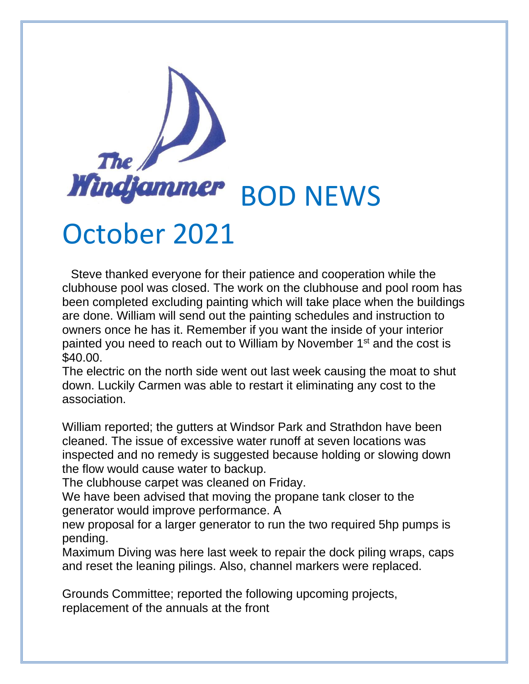

## October 2021

 Steve thanked everyone for their patience and cooperation while the clubhouse pool was closed. The work on the clubhouse and pool room has been completed excluding painting which will take place when the buildings are done. William will send out the painting schedules and instruction to owners once he has it. Remember if you want the inside of your interior painted you need to reach out to William by November 1<sup>st</sup> and the cost is \$40.00.

The electric on the north side went out last week causing the moat to shut down. Luckily Carmen was able to restart it eliminating any cost to the association.

William reported; the gutters at Windsor Park and Strathdon have been cleaned. The issue of excessive water runoff at seven locations was inspected and no remedy is suggested because holding or slowing down the flow would cause water to backup.

The clubhouse carpet was cleaned on Friday.

We have been advised that moving the propane tank closer to the generator would improve performance. A

new proposal for a larger generator to run the two required 5hp pumps is pending.

Maximum Diving was here last week to repair the dock piling wraps, caps and reset the leaning pilings. Also, channel markers were replaced.

Grounds Committee; reported the following upcoming projects, replacement of the annuals at the front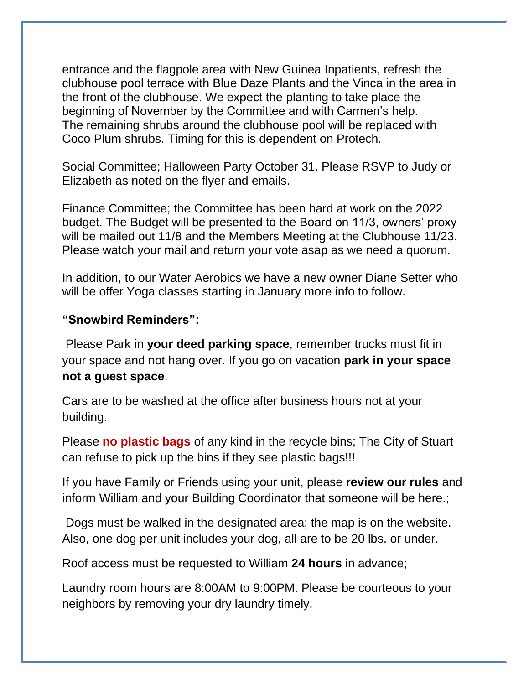entrance and the flagpole area with New Guinea Inpatients, refresh the clubhouse pool terrace with Blue Daze Plants and the Vinca in the area in the front of the clubhouse. We expect the planting to take place the beginning of November by the Committee and with Carmen's help. The remaining shrubs around the clubhouse pool will be replaced with Coco Plum shrubs. Timing for this is dependent on Protech.

Social Committee; Halloween Party October 31. Please RSVP to Judy or Elizabeth as noted on the flyer and emails.

Finance Committee; the Committee has been hard at work on the 2022 budget. The Budget will be presented to the Board on 11/3, owners' proxy will be mailed out 11/8 and the Members Meeting at the Clubhouse 11/23. Please watch your mail and return your vote asap as we need a quorum.

In addition, to our Water Aerobics we have a new owner Diane Setter who will be offer Yoga classes starting in January more info to follow.

## **"Snowbird Reminders":**

Please Park in **your deed parking space**, remember trucks must fit in your space and not hang over. If you go on vacation **park in your space not a guest space**.

Cars are to be washed at the office after business hours not at your building.

Please **no plastic bags** of any kind in the recycle bins; The City of Stuart can refuse to pick up the bins if they see plastic bags!!!

If you have Family or Friends using your unit, please **review our rules** and inform William and your Building Coordinator that someone will be here.;

Dogs must be walked in the designated area; the map is on the website. Also, one dog per unit includes your dog, all are to be 20 lbs. or under.

Roof access must be requested to William **24 hours** in advance;

Laundry room hours are 8:00AM to 9:00PM. Please be courteous to your neighbors by removing your dry laundry timely.